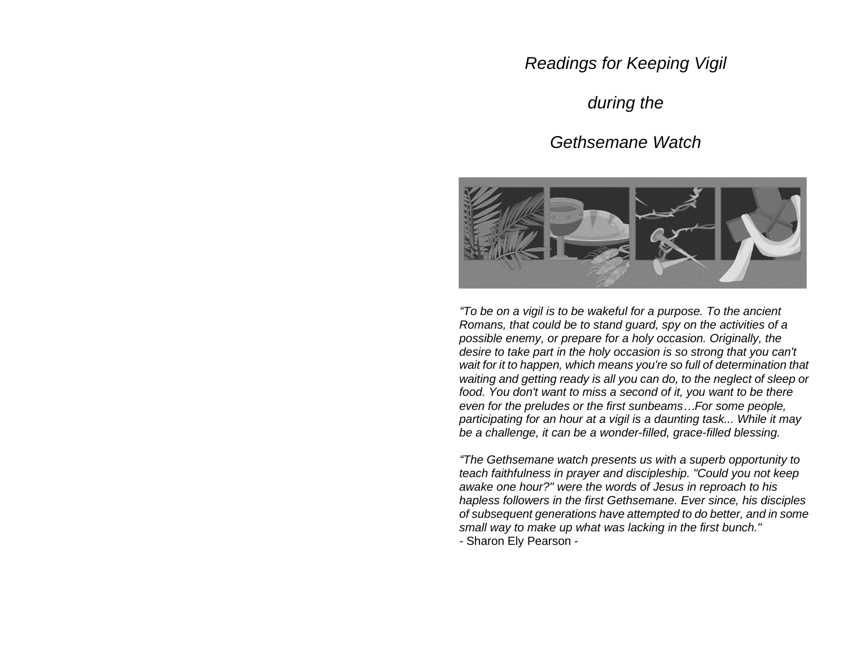## *Readings for Keeping Vigil*

# *during the*

### *Gethsemane Watch*



 *"To be on a vigil is to be wakeful for a purpose. To the ancient Romans, that could be to stand guard, spy on the activities of a possible enemy, or prepare for a holy occasion. Originally, the desire to take part in the holy occasion is so strong that you can't wait for it to happen, which means you're so full of determination that waiting and getting ready is all you can do, to the neglect of sleep or food. You don't want to miss a second of it, you want to be there even for the preludes or the first sunbeams…For some people, participating for an hour at a vigil is a daunting task... While it may be a challenge, it can be a wonder-filled, grace-filled blessing.*

 *"The Gethsemane watch presents us with a superb opportunity to teach faithfulness in prayer and discipleship. "Could you not keep awake one hour?" were the words of Jesus in reproach to his hapless followers in the first Gethsemane. Ever since, his disciples of subsequent generations have attempted to do better, and in some small way to make up what was lacking in the first bunch." -* Sharon Ely Pearson -